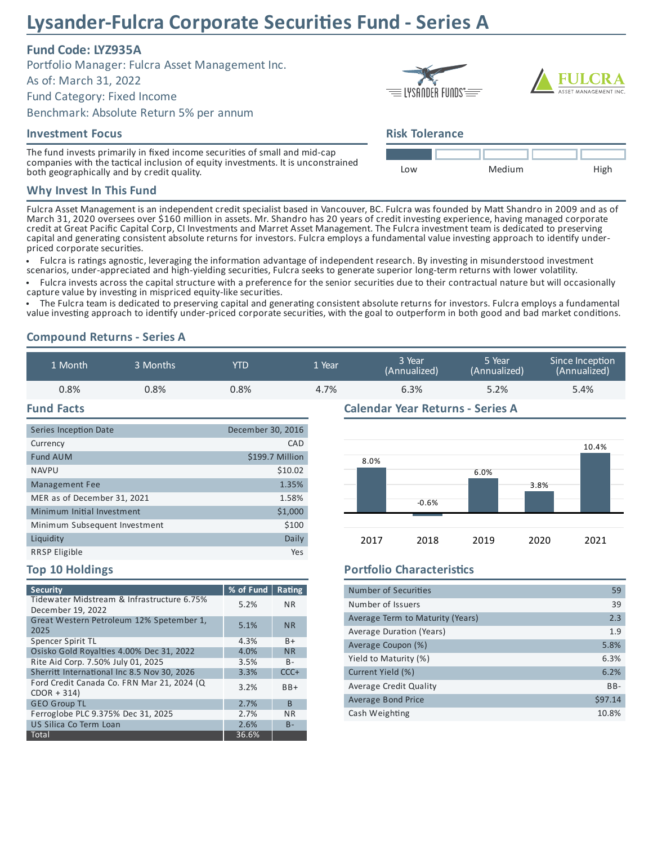# **Lysander-Fulcra Corporate Securies Fund - Series A**

# **Fund Code: LYZ935A**

Portfolio Manager: Fulcra Asset Management Inc.

As of: March 31, 2022

Fund Category: Fixed Income

Benchmark: Absolute Return 5% per annum

#### **Investment Focus**

The fund invests primarily in fixed income securities of small and mid-cap companies with the tactical inclusion of equity investments. It is unconstrained both geographically and by credit quality.

### **Why Invest In This Fund**

Fulcra Asset Management is an independent credit specialist based in Vancouver, BC. Fulcra was founded by Matt Shandro in 2009 and as of March 31, 2020 oversees over \$160 million in assets. Mr. Shandro has 20 years of credit investing experience, having managed corporate credit at Great Pacific Capital Corp, CI Investments and Marret Asset Management. The Fulcra investment team is dedicated to preserving capital and generating consistent absolute returns for investors. Fulcra employs a fundamental value investing approach to identify underpriced corporate securities.

· Fulcra is ratings agnostic, leveraging the information advantage of independent research. By investing in misunderstood investment scenarios, under-appreciated and high-yielding securities, Fulcra seeks to generate superior long-term returns with lower volatility.

• Fulcra invests across the capital structure with a preference for the senior securities due to their contractual nature but will occasionally capture value by investing in mispriced equity-like securities.

The Fulcra team is dedicated to preserving capital and generating consistent absolute returns for investors. Fulcra employs a fundamental value investing approach to identify under-priced corporate securities, with the goal to outperform in both good and bad market conditions.

# **Compound Returns - Series A**

| 1 Month | 3 Months | <b>YTD</b> | 1 Year | 3 Year<br>(Annualized) | 5 Year<br>(Annualized) | Since Inception<br>(Annualized) |
|---------|----------|------------|--------|------------------------|------------------------|---------------------------------|
| 0.8%    | 0.8%     | $0.8\%$    | 4.7%   | 6.3%                   | 5.2%                   | 5.4%                            |
|         |          |            |        |                        |                        |                                 |

#### **Fund Facts**

| Series Inception Date         | December 30, 2016 |
|-------------------------------|-------------------|
| Currency                      | CAD               |
| <b>Fund AUM</b>               | \$199.7 Million   |
| <b>NAVPU</b>                  | \$10.02           |
| Management Fee                | 1.35%             |
| MER as of December 31, 2021   | 1.58%             |
| Minimum Initial Investment    | \$1,000           |
| Minimum Subsequent Investment | \$100             |
| Liquidity                     | Daily             |
| <b>RRSP Eligible</b>          | Yes               |

#### **Calendar Year Returns - Series A**



#### **Top 10 Holdings**

| <b>Security</b>                                                 | % of Fund | Rating    |
|-----------------------------------------------------------------|-----------|-----------|
| Tidewater Midstream & Infrastructure 6.75%<br>December 19, 2022 | 5.2%      | <b>NR</b> |
| Great Western Petroleum 12% Spetember 1,<br>2025                | 5.1%      | <b>NR</b> |
| Spencer Spirit TL                                               | 4.3%      | B+        |
| Osisko Gold Royalties 4.00% Dec 31, 2022                        | 4.0%      | <b>NR</b> |
| Rite Aid Corp. 7.50% July 01, 2025                              | 3.5%      | $B -$     |
| Sherritt International Inc 8.5 Nov 30, 2026                     | 3.3%      | $CCC +$   |
| Ford Credit Canada Co. FRN Mar 21, 2024 (Q<br>$CDOR + 314$      | 3.2%      | $BB+$     |
| <b>GEO Group TL</b>                                             | 2.7%      | B         |
| Ferroglobe PLC 9.375% Dec 31, 2025                              | 2.7%      | <b>NR</b> |
| US Silica Co Term Loan                                          | 2.6%      | $B -$     |
| Total                                                           | 36.6%     |           |

## **Portfolio Characteristics**

| Number of Securities             | 59      |
|----------------------------------|---------|
| Number of Issuers                | 39      |
| Average Term to Maturity (Years) | 2.3     |
| Average Duration (Years)         | 1.9     |
| Average Coupon (%)               | 5.8%    |
| Yield to Maturity (%)            | 6.3%    |
| Current Yield (%)                | 6.2%    |
| <b>Average Credit Quality</b>    | $BB -$  |
| <b>Average Bond Price</b>        | \$97.14 |
| Cash Weighting                   | 10.8%   |
|                                  |         |



# **Risk Tolerance**

 $\equiv$  lysander funds  $\equiv$   $\equiv$